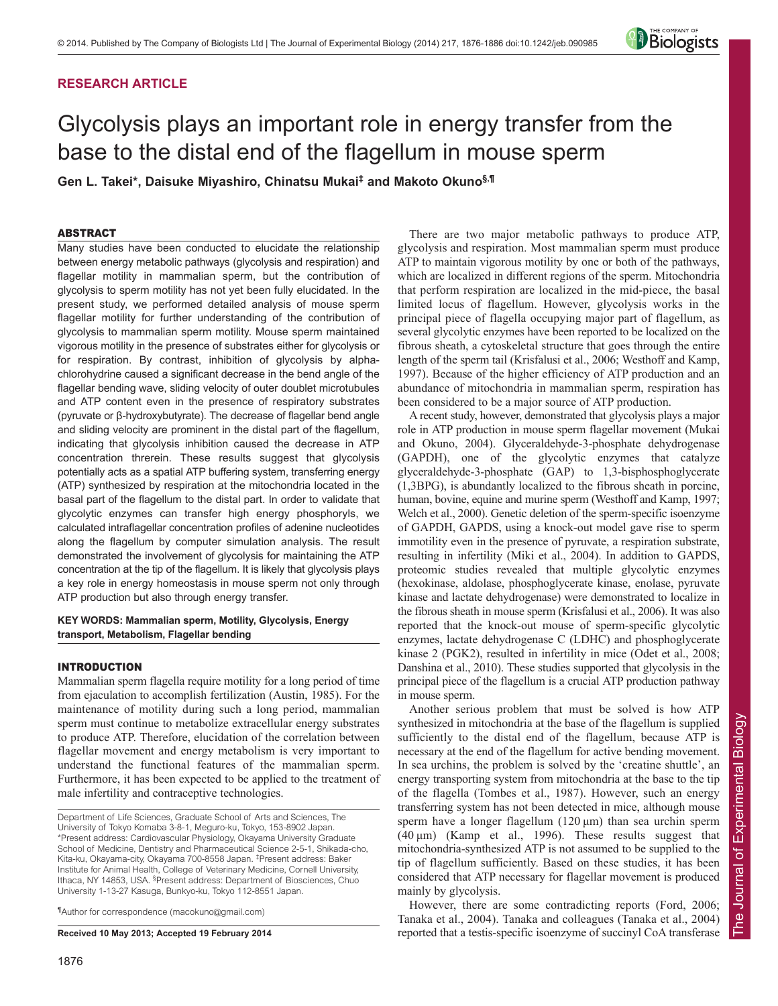# **RESEARCH ARTICLE**

# Glycolysis plays an important role in energy transfer from the base to the distal end of the flagellum in mouse sperm

**Gen L. Takei\*, Daisuke Miyashiro, Chinatsu Mukai‡ and Makoto Okuno§,¶**

## ABSTRACT

Many studies have been conducted to elucidate the relationship between energy metabolic pathways (glycolysis and respiration) and flagellar motility in mammalian sperm, but the contribution of glycolysis to sperm motility has not yet been fully elucidated. In the present study, we performed detailed analysis of mouse sperm flagellar motility for further understanding of the contribution of glycolysis to mammalian sperm motility. Mouse sperm maintained vigorous motility in the presence of substrates either for glycolysis or for respiration. By contrast, inhibition of glycolysis by alphachlorohydrine caused a significant decrease in the bend angle of the flagellar bending wave, sliding velocity of outer doublet microtubules and ATP content even in the presence of respiratory substrates (pyruvate or β-hydroxybutyrate). The decrease of flagellar bend angle and sliding velocity are prominent in the distal part of the flagellum, indicating that glycolysis inhibition caused the decrease in ATP concentration threrein. These results suggest that glycolysis potentially acts as a spatial ATP buffering system, transferring energy (ATP) synthesized by respiration at the mitochondria located in the basal part of the flagellum to the distal part. In order to validate that glycolytic enzymes can transfer high energy phosphoryls, we calculated intraflagellar concentration profiles of adenine nucleotides along the flagellum by computer simulation analysis. The result demonstrated the involvement of glycolysis for maintaining the ATP concentration at the tip of the flagellum. It is likely that glycolysis plays a key role in energy homeostasis in mouse sperm not only through ATP production but also through energy transfer.

## **KEY WORDS: Mammalian sperm, Motility, Glycolysis, Energy transport, Metabolism, Flagellar bending**

## INTRODUCTION

Mammalian sperm flagella require motility for a long period of time from ejaculation to accomplish fertilization (Austin, 1985). For the maintenance of motility during such a long period, mammalian sperm must continue to metabolize extracellular energy substrates to produce ATP. Therefore, elucidation of the correlation between flagellar movement and energy metabolism is very important to understand the functional features of the mammalian sperm. Furthermore, it has been expected to be applied to the treatment of male infertility and contraceptive technologies.

Department of Life Sciences, Graduate School of Arts and Sciences, The University of Tokyo Komaba 3-8-1, Meguro-ku, Tokyo, 153-8902 Japan. \*Present address: Cardiovascular Physiology, Okayama University Graduate School of Medicine, Dentistry and Pharmaceutical Science 2-5-1, Shikada-cho, Kita-ku, Okayama-city, Okayama 700-8558 Japan. ‡ Present address: Baker Institute for Animal Health, College of Veterinary Medicine, Cornell University, Ithaca, NY 14853, USA. <sup>§</sup> Present address: Department of Biosciences, Chuo University 1-13-27 Kasuga, Bunkyo-ku, Tokyo 112-8551 Japan.

¶Author for correspondence (macokuno@gmail.com)

**Received 10 May 2013; Accepted 19 February 2014**

There are two major metabolic pathways to produce ATP, glycolysis and respiration. Most mammalian sperm must produce ATP to maintain vigorous motility by one or both of the pathways, which are localized in different regions of the sperm. Mitochondria that perform respiration are localized in the mid-piece, the basal limited locus of flagellum. However, glycolysis works in the principal piece of flagella occupying major part of flagellum, as several glycolytic enzymes have been reported to be localized on the fibrous sheath, a cytoskeletal structure that goes through the entire length of the sperm tail (Krisfalusi et al., 2006; Westhoff and Kamp, 1997). Because of the higher efficiency of ATP production and an abundance of mitochondria in mammalian sperm, respiration has been considered to be a major source of ATP production.

A recent study, however, demonstrated that glycolysis plays a major role in ATP production in mouse sperm flagellar movement (Mukai and Okuno, 2004). Glyceraldehyde-3-phosphate dehydrogenase (GAPDH), one of the glycolytic enzymes that catalyze glyceraldehyde-3-phosphate (GAP) to 1,3-bisphosphoglycerate (1,3BPG), is abundantly localized to the fibrous sheath in porcine, human, bovine, equine and murine sperm (Westhoff and Kamp, 1997; Welch et al., 2000). Genetic deletion of the sperm-specific isoenzyme of GAPDH, GAPDS, using a knock-out model gave rise to sperm immotility even in the presence of pyruvate, a respiration substrate, resulting in infertility (Miki et al., 2004). In addition to GAPDS, proteomic studies revealed that multiple glycolytic enzymes (hexokinase, aldolase, phosphoglycerate kinase, enolase, pyruvate kinase and lactate dehydrogenase) were demonstrated to localize in the fibrous sheath in mouse sperm (Krisfalusi et al., 2006). It was also reported that the knock-out mouse of sperm-specific glycolytic enzymes, lactate dehydrogenase C (LDHC) and phosphoglycerate kinase 2 (PGK2), resulted in infertility in mice (Odet et al., 2008; Danshina et al., 2010). These studies supported that glycolysis in the principal piece of the flagellum is a crucial ATP production pathway in mouse sperm.

Another serious problem that must be solved is how ATP synthesized in mitochondria at the base of the flagellum is supplied sufficiently to the distal end of the flagellum, because ATP is necessary at the end of the flagellum for active bending movement. In sea urchins, the problem is solved by the 'creatine shuttle', an energy transporting system from mitochondria at the base to the tip of the flagella (Tombes et al., 1987). However, such an energy transferring system has not been detected in mice, although mouse sperm have a longer flagellum (120 μm) than sea urchin sperm  $(40 \,\mu\text{m})$  (Kamp et al., 1996). These results suggest that mitochondria-synthesized ATP is not assumed to be supplied to the tip of flagellum sufficiently. Based on these studies, it has been considered that ATP necessary for flagellar movement is produced mainly by glycolysis.

However, there are some contradicting reports (Ford, 2006; Tanaka et al., 2004). Tanaka and colleagues (Tanaka et al., 2004) reported that a testis-specific isoenzyme of succinyl CoA transferase

*Biologists*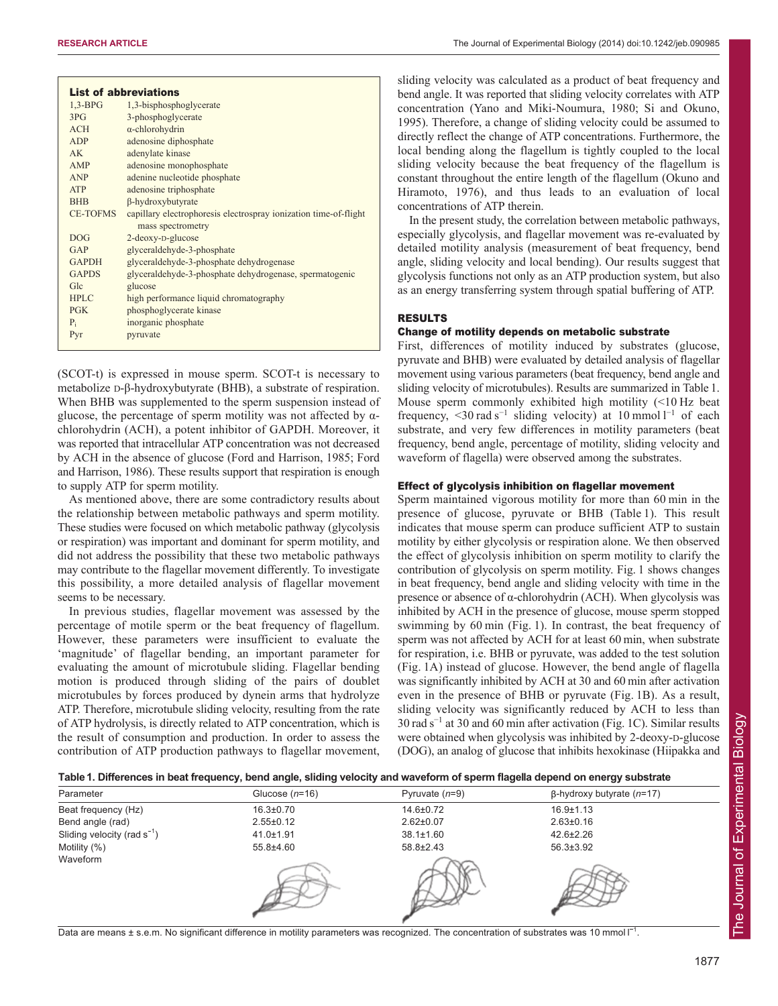|                 | <b>List of abbreviations</b>                                                          |
|-----------------|---------------------------------------------------------------------------------------|
| $1,3-BPG$       | 1,3-bisphosphoglycerate                                                               |
| 3PG             | 3-phosphoglycerate                                                                    |
| ACH             | $\alpha$ -chlorohydrin                                                                |
| ADP             | adenosine diphosphate                                                                 |
| AK              | adenylate kinase                                                                      |
| AMP             | adenosine monophosphate                                                               |
| <b>ANP</b>      | adenine nucleotide phosphate                                                          |
| <b>ATP</b>      | adenosine triphosphate                                                                |
| <b>BHB</b>      | <b>ß-hydroxybutyrate</b>                                                              |
| <b>CE-TOFMS</b> | capillary electrophoresis electrospray ionization time-of-flight<br>mass spectrometry |
| DOG             | 2-deoxy-D-glucose                                                                     |
| GAP             | glyceraldehyde-3-phosphate                                                            |
| <b>GAPDH</b>    | glyceraldehyde-3-phosphate dehydrogenase                                              |
| <b>GAPDS</b>    | glyceraldehyde-3-phosphate dehydrogenase, spermatogenic                               |
| Glc             | glucose                                                                               |
| <b>HPLC</b>     | high performance liquid chromatography                                                |
| $P$ GK          | phosphoglycerate kinase                                                               |
| $P_i$           | inorganic phosphate                                                                   |
| Pyr             | pyruvate                                                                              |

(SCOT-t) is expressed in mouse sperm. SCOT-t is necessary to metabolize D-β-hydroxybutyrate (BHB), a substrate of respiration. When BHB was supplemented to the sperm suspension instead of glucose, the percentage of sperm motility was not affected by  $\alpha$ chlorohydrin (ACH), a potent inhibitor of GAPDH. Moreover, it was reported that intracellular ATP concentration was not decreased by ACH in the absence of glucose (Ford and Harrison, 1985; Ford and Harrison, 1986). These results support that respiration is enough to supply ATP for sperm motility.

As mentioned above, there are some contradictory results about the relationship between metabolic pathways and sperm motility. These studies were focused on which metabolic pathway (glycolysis or respiration) was important and dominant for sperm motility, and did not address the possibility that these two metabolic pathways may contribute to the flagellar movement differently. To investigate this possibility, a more detailed analysis of flagellar movement seems to be necessary.

In previous studies, flagellar movement was assessed by the percentage of motile sperm or the beat frequency of flagellum. However, these parameters were insufficient to evaluate the 'magnitude' of flagellar bending, an important parameter for evaluating the amount of microtubule sliding. Flagellar bending motion is produced through sliding of the pairs of doublet microtubules by forces produced by dynein arms that hydrolyze ATP. Therefore, microtubule sliding velocity, resulting from the rate of ATP hydrolysis, is directly related to ATP concentration, which is the result of consumption and production. In order to assess the contribution of ATP production pathways to flagellar movement, sliding velocity was calculated as a product of beat frequency and bend angle. It was reported that sliding velocity correlates with ATP concentration (Yano and Miki-Noumura, 1980; Si and Okuno, 1995). Therefore, a change of sliding velocity could be assumed to directly reflect the change of ATP concentrations. Furthermore, the local bending along the flagellum is tightly coupled to the local sliding velocity because the beat frequency of the flagellum is constant throughout the entire length of the flagellum (Okuno and Hiramoto, 1976), and thus leads to an evaluation of local concentrations of ATP therein.

In the present study, the correlation between metabolic pathways, especially glycolysis, and flagellar movement was re-evaluated by detailed motility analysis (measurement of beat frequency, bend angle, sliding velocity and local bending). Our results suggest that glycolysis functions not only as an ATP production system, but also as an energy transferring system through spatial buffering of ATP.

# RESULTS

# Change of motility depends on metabolic substrate

First, differences of motility induced by substrates (glucose, pyruvate and BHB) were evaluated by detailed analysis of flagellar movement using various parameters (beat frequency, bend angle and sliding velocity of microtubules). Results are summarized in Table 1. Mouse sperm commonly exhibited high motility (<10 Hz beat frequency, <30 rad s<sup>-1</sup> sliding velocity) at 10 mmol  $l^{-1}$  of each substrate, and very few differences in motility parameters (beat frequency, bend angle, percentage of motility, sliding velocity and waveform of flagella) were observed among the substrates.

# Effect of glycolysis inhibition on flagellar movement

Sperm maintained vigorous motility for more than 60 min in the presence of glucose, pyruvate or BHB (Table 1). This result indicates that mouse sperm can produce sufficient ATP to sustain motility by either glycolysis or respiration alone. We then observed the effect of glycolysis inhibition on sperm motility to clarify the contribution of glycolysis on sperm motility. Fig. 1 shows changes in beat frequency, bend angle and sliding velocity with time in the presence or absence of α-chlorohydrin (ACH). When glycolysis was inhibited by ACH in the presence of glucose, mouse sperm stopped swimming by 60 min (Fig. 1). In contrast, the beat frequency of sperm was not affected by ACH for at least 60 min, when substrate for respiration, i.e. BHB or pyruvate, was added to the test solution (Fig. 1A) instead of glucose. However, the bend angle of flagella was significantly inhibited by ACH at 30 and 60 min after activation even in the presence of BHB or pyruvate (Fig. 1B). As a result, sliding velocity was significantly reduced by ACH to less than 30 rad s<sup>−1</sup> at 30 and 60 min after activation (Fig. 1C). Similar results were obtained when glycolysis was inhibited by 2-deoxy-D-glucose (DOG), an analog of glucose that inhibits hexokinase (Hiipakka and

## **Table 1. Differences in beat frequency, bend angle, sliding velocity and waveform of sperm flagella depend on energy substrate**

| Parameter                        | Glucose $(n=16)$ | Pyruvate $(n=9)$ | $\beta$ -hydroxy butyrate (n=17) |
|----------------------------------|------------------|------------------|----------------------------------|
| Beat frequency (Hz)              | $16.3 \pm 0.70$  | 14.6±0.72        | $16.9 \pm 1.13$                  |
| Bend angle (rad)                 | $2.55 \pm 0.12$  | $2.62 \pm 0.07$  | $2.63 \pm 0.16$                  |
| Sliding velocity (rad $s^{-1}$ ) | $41.0 \pm 1.91$  | $38.1 \pm 1.60$  | $42.6 \pm 2.26$                  |
| Motility (%)                     | 55.8±4.60        | 58.8±2.43        | $56.3 \pm 3.92$                  |
| Waveform                         |                  |                  |                                  |

Data are means ± s.e.m. No significant difference in motility parameters was recognized. The concentration of substrates was 10 mmol l<sup>-1</sup>.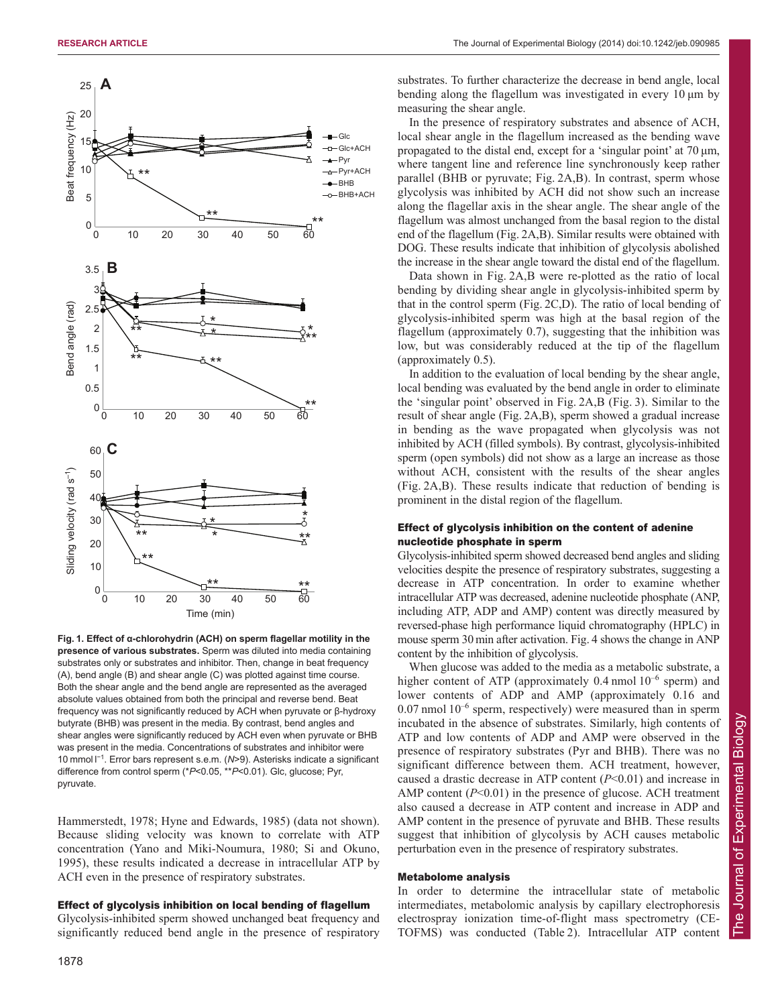

**Fig. 1. Effect of α-chlorohydrin (ACH) on sperm flagellar motility in the presence of various substrates.** Sperm was diluted into media containing substrates only or substrates and inhibitor. Then, change in beat frequency (A), bend angle (B) and shear angle (C) was plotted against time course. Both the shear angle and the bend angle are represented as the averaged absolute values obtained from both the principal and reverse bend. Beat frequency was not significantly reduced by ACH when pyruvate or β-hydroxy butyrate (BHB) was present in the media. By contrast, bend angles and shear angles were significantly reduced by ACH even when pyruvate or BHB was present in the media. Concentrations of substrates and inhibitor were 10 mmol l −1 . Error bars represent s.e.m. (*N*>9). Asterisks indicate a significant difference from control sperm (\**P*<0.05, \*\**P*<0.01). Glc, glucose; Pyr, pyruvate.

Hammerstedt, 1978; Hyne and Edwards, 1985) (data not shown). Because sliding velocity was known to correlate with ATP concentration (Yano and Miki-Noumura, 1980; Si and Okuno, 1995), these results indicated a decrease in intracellular ATP by ACH even in the presence of respiratory substrates.

## Effect of glycolysis inhibition on local bending of flagellum

Glycolysis-inhibited sperm showed unchanged beat frequency and significantly reduced bend angle in the presence of respiratory

substrates. To further characterize the decrease in bend angle, local bending along the flagellum was investigated in every 10 μm by measuring the shear angle.

In the presence of respiratory substrates and absence of ACH, local shear angle in the flagellum increased as the bending wave propagated to the distal end, except for a 'singular point' at 70 μm, where tangent line and reference line synchronously keep rather parallel (BHB or pyruvate; Fig. 2A,B). In contrast, sperm whose glycolysis was inhibited by ACH did not show such an increase along the flagellar axis in the shear angle. The shear angle of the flagellum was almost unchanged from the basal region to the distal end of the flagellum (Fig. 2A,B). Similar results were obtained with DOG. These results indicate that inhibition of glycolysis abolished the increase in the shear angle toward the distal end of the flagellum.

Data shown in Fig. 2A,B were re-plotted as the ratio of local bending by dividing shear angle in glycolysis-inhibited sperm by that in the control sperm (Fig. 2C,D). The ratio of local bending of glycolysis-inhibited sperm was high at the basal region of the flagellum (approximately 0.7), suggesting that the inhibition was low, but was considerably reduced at the tip of the flagellum (approximately 0.5).

In addition to the evaluation of local bending by the shear angle, local bending was evaluated by the bend angle in order to eliminate the 'singular point' observed in Fig. 2A,B (Fig. 3). Similar to the result of shear angle (Fig. 2A,B), sperm showed a gradual increase in bending as the wave propagated when glycolysis was not inhibited by ACH (filled symbols). By contrast, glycolysis-inhibited sperm (open symbols) did not show as a large an increase as those without ACH, consistent with the results of the shear angles (Fig. 2A,B). These results indicate that reduction of bending is prominent in the distal region of the flagellum.

## Effect of glycolysis inhibition on the content of adenine nucleotide phosphate in sperm

Glycolysis-inhibited sperm showed decreased bend angles and sliding velocities despite the presence of respiratory substrates, suggesting a decrease in ATP concentration. In order to examine whether intracellular ATP was decreased, adenine nucleotide phosphate (ANP, including ATP, ADP and AMP) content was directly measured by reversed-phase high performance liquid chromatography (HPLC) in mouse sperm 30 min after activation. Fig. 4 shows the change in ANP content by the inhibition of glycolysis.

When glucose was added to the media as a metabolic substrate, a higher content of ATP (approximately  $0.4$  nmol  $10^{-6}$  sperm) and lower contents of ADP and AMP (approximately 0.16 and  $0.07$  nmol  $10^{-6}$  sperm, respectively) were measured than in sperm incubated in the absence of substrates. Similarly, high contents of ATP and low contents of ADP and AMP were observed in the presence of respiratory substrates (Pyr and BHB). There was no significant difference between them. ACH treatment, however, caused a drastic decrease in ATP content (*P*<0.01) and increase in AMP content ( $P<0.01$ ) in the presence of glucose. ACH treatment also caused a decrease in ATP content and increase in ADP and AMP content in the presence of pyruvate and BHB. These results suggest that inhibition of glycolysis by ACH causes metabolic perturbation even in the presence of respiratory substrates.

#### Metabolome analysis

In order to determine the intracellular state of metabolic intermediates, metabolomic analysis by capillary electrophoresis electrospray ionization time-of-flight mass spectrometry (CE-TOFMS) was conducted (Table 2). Intracellular ATP content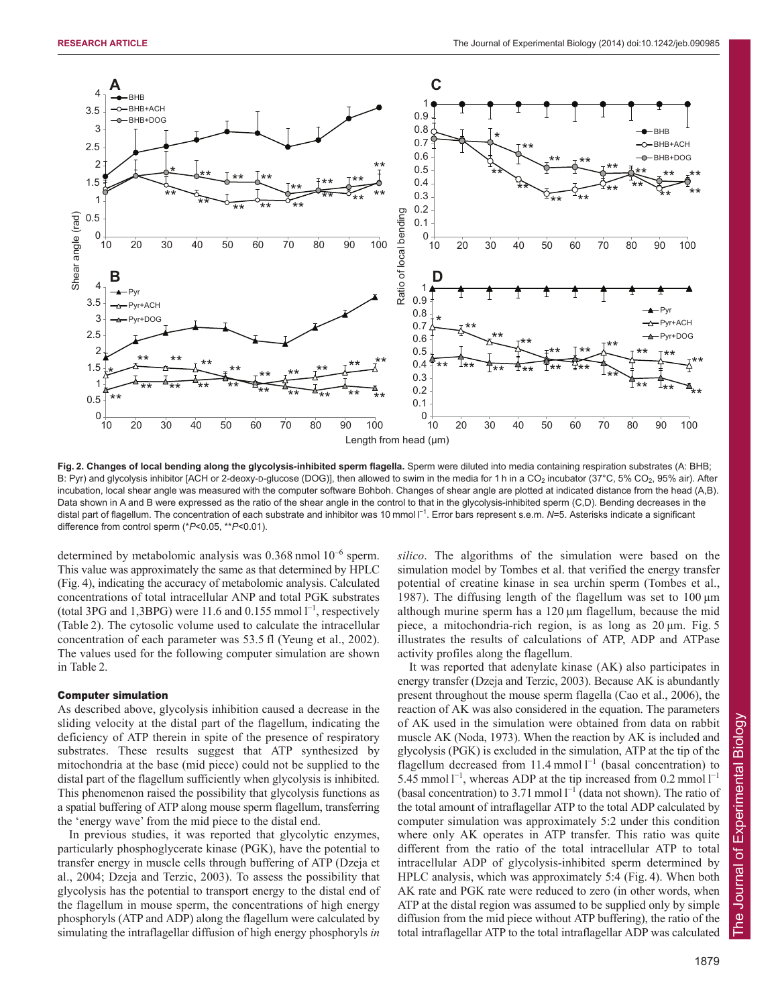

**Fig. 2. Changes of local bending along the glycolysis-inhibited sperm flagella.** Sperm were diluted into media containing respiration substrates (A: BHB; B: Pyr) and glycolysis inhibitor [ACH or 2-deoxy-p-glucose (DOG)], then allowed to swim in the media for 1 h in a CO<sub>2</sub> incubator (37°C, 5% CO<sub>2</sub>, 95% air). After incubation, local shear angle was measured with the computer software Bohboh. Changes of shear angle are plotted at indicated distance from the head (A,B). Data shown in A and B were expressed as the ratio of the shear angle in the control to that in the glycolysis-inhibited sperm (C,D). Bending decreases in the distal part of flagellum. The concentration of each substrate and inhibitor was 10 mmol I<sup>-1</sup>. Error bars represent s.e.m. N=5. Asterisks indicate a significant difference from control sperm (\**P*<0.05, \*\**P*<0.01).

determined by metabolomic analysis was  $0.368$  nmol  $10^{-6}$  sperm. This value was approximately the same as that determined by HPLC (Fig. 4), indicating the accuracy of metabolomic analysis. Calculated concentrations of total intracellular ANP and total PGK substrates (total 3PG and 1,3BPG) were 11.6 and  $0.155$  mmol  $1^{-1}$ , respectively (Table 2). The cytosolic volume used to calculate the intracellular concentration of each parameter was 53.5 fl (Yeung et al., 2002). The values used for the following computer simulation are shown in Table 2.

#### Computer simulation

As described above, glycolysis inhibition caused a decrease in the sliding velocity at the distal part of the flagellum, indicating the deficiency of ATP therein in spite of the presence of respiratory substrates. These results suggest that ATP synthesized by mitochondria at the base (mid piece) could not be supplied to the distal part of the flagellum sufficiently when glycolysis is inhibited. This phenomenon raised the possibility that glycolysis functions as a spatial buffering of ATP along mouse sperm flagellum, transferring the 'energy wave' from the mid piece to the distal end.

In previous studies, it was reported that glycolytic enzymes, particularly phosphoglycerate kinase (PGK), have the potential to transfer energy in muscle cells through buffering of ATP (Dzeja et al., 2004; Dzeja and Terzic, 2003). To assess the possibility that glycolysis has the potential to transport energy to the distal end of the flagellum in mouse sperm, the concentrations of high energy phosphoryls (ATP and ADP) along the flagellum were calculated by simulating the intraflagellar diffusion of high energy phosphoryls *in*

*silico*. The algorithms of the simulation were based on the simulation model by Tombes et al. that verified the energy transfer potential of creatine kinase in sea urchin sperm (Tombes et al., 1987). The diffusing length of the flagellum was set to 100 μm although murine sperm has a 120 μm flagellum, because the mid piece, a mitochondria-rich region, is as long as 20 μm. Fig. 5 illustrates the results of calculations of ATP, ADP and ATPase activity profiles along the flagellum.

It was reported that adenylate kinase (AK) also participates in energy transfer (Dzeja and Terzic, 2003). Because AK is abundantly present throughout the mouse sperm flagella (Cao et al., 2006), the reaction of AK was also considered in the equation. The parameters of AK used in the simulation were obtained from data on rabbit muscle AK (Noda, 1973). When the reaction by AK is included and glycolysis (PGK) is excluded in the simulation, ATP at the tip of the flagellum decreased from 11.4 mmol  $l^{-1}$  (basal concentration) to 5.45 mmol  $1^{-1}$ , whereas ADP at the tip increased from 0.2 mmol  $1^{-1}$ (basal concentration) to 3.71 mmol  $l^{-1}$  (data not shown). The ratio of the total amount of intraflagellar ATP to the total ADP calculated by computer simulation was approximately 5:2 under this condition where only AK operates in ATP transfer. This ratio was quite different from the ratio of the total intracellular ATP to total intracellular ADP of glycolysis-inhibited sperm determined by HPLC analysis, which was approximately 5:4 (Fig. 4). When both AK rate and PGK rate were reduced to zero (in other words, when ATP at the distal region was assumed to be supplied only by simple diffusion from the mid piece without ATP buffering), the ratio of the total intraflagellar ATP to the total intraflagellar ADP was calculated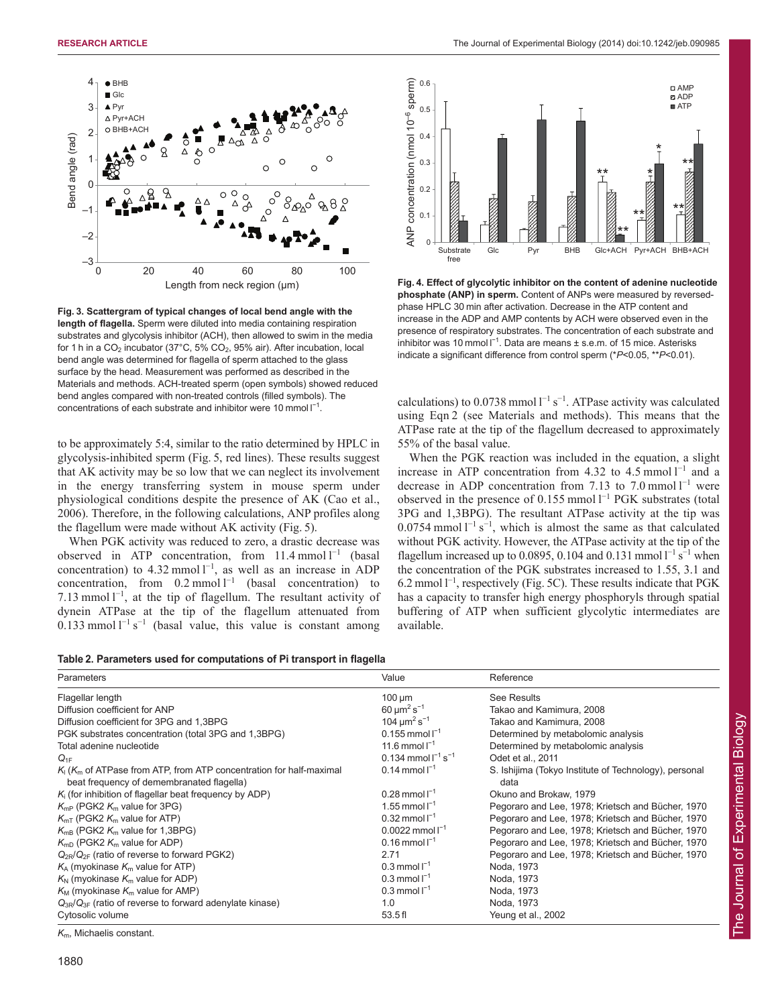

**Fig. 3. Scattergram of typical changes of local bend angle with the length of flagella.** Sperm were diluted into media containing respiration substrates and glycolysis inhibitor (ACH), then allowed to swim in the media for 1 h in a  $CO_2$  incubator (37°C, 5%  $CO_2$ , 95% air). After incubation, local bend angle was determined for flagella of sperm attached to the glass surface by the head. Measurement was performed as described in the Materials and methods. ACH-treated sperm (open symbols) showed reduced bend angles compared with non-treated controls (filled symbols). The concentrations of each substrate and inhibitor were 10 mmol  $I^{-1}$ .

to be approximately 5:4, similar to the ratio determined by HPLC in glycolysis-inhibited sperm (Fig. 5, red lines). These results suggest that AK activity may be so low that we can neglect its involvement in the energy transferring system in mouse sperm under physiological conditions despite the presence of AK (Cao et al., 2006). Therefore, in the following calculations, ANP profiles along the flagellum were made without AK activity (Fig. 5).

When PGK activity was reduced to zero, a drastic decrease was observed in ATP concentration, from  $11.4$  mmol  $l^{-1}$  (basal concentration) to 4.32 mmol  $1^{-1}$ , as well as an increase in ADP concentration, from  $0.2 \text{ mmol } 1^{-1}$  (basal concentration) to 7.13 mmol  $l^{-1}$ , at the tip of flagellum. The resultant activity of dynein ATPase at the tip of the flagellum attenuated from 0.133 mmol  $l^{-1}$  s<sup>-1</sup> (basal value, this value is constant among

**Table 2. Parameters used for computations of Pi transport in flagella**

| Parameters                                                                                                          | Value                                    | Reference                                                     |
|---------------------------------------------------------------------------------------------------------------------|------------------------------------------|---------------------------------------------------------------|
| Flagellar length                                                                                                    | $100 \mu m$                              | See Results                                                   |
| Diffusion coefficient for ANP                                                                                       | $60 \mu m^2 s^{-1}$                      | Takao and Kamimura, 2008                                      |
| Diffusion coefficient for 3PG and 1,3BPG                                                                            | 104 $\mu$ m <sup>2</sup> s <sup>-1</sup> | Takao and Kamimura, 2008                                      |
| PGK substrates concentration (total 3PG and 1,3BPG)                                                                 | 0.155 mmol $I^{-1}$                      | Determined by metabolomic analysis                            |
| Total adenine nucleotide                                                                                            | 11.6 mmol $I^{-1}$                       | Determined by metabolomic analysis                            |
| $Q_{1F}$                                                                                                            | 0.134 mmol $I^{-1}$ s <sup>-1</sup>      | Odet et al., 2011                                             |
| $K_1(K_m)$ of ATPase from ATP, from ATP concentration for half-maximal<br>beat frequency of demembranated flagella) | $0.14$ mmol $I^{-1}$                     | S. Ishijima (Tokyo Institute of Technology), personal<br>data |
| $K_i$ (for inhibition of flagellar beat frequency by ADP)                                                           | $0.28$ mmol $1^{-1}$                     | Okuno and Brokaw, 1979                                        |
| $K_{\rm mp}$ (PGK2 $K_{\rm m}$ value for 3PG)                                                                       | 1.55 mmol $I^{-1}$                       | Pegoraro and Lee, 1978; Krietsch and Bücher, 1970             |
| $K_{mT}$ (PGK2 $K_m$ value for ATP)                                                                                 | $0.32$ mmol $I^{-1}$                     | Pegoraro and Lee, 1978; Krietsch and Bücher, 1970             |
| $K_{\text{mB}}$ (PGK2 $K_{\text{m}}$ value for 1,3BPG)                                                              | 0.0022 mmol $I^{-1}$                     | Pegoraro and Lee, 1978; Krietsch and Bücher, 1970             |
| $K_{\text{mD}}$ (PGK2 $K_{\text{m}}$ value for ADP)                                                                 | $0.16$ mmol $I^{-1}$                     | Pegoraro and Lee, 1978; Krietsch and Bücher, 1970             |
| $Q_{2R}/Q_{2F}$ (ratio of reverse to forward PGK2)                                                                  | 2.71                                     | Pegoraro and Lee, 1978; Krietsch and Bücher, 1970             |
| $K_A$ (myokinase $K_m$ value for ATP)                                                                               | $0.3$ mmol $I^{-1}$                      | Noda, 1973                                                    |
| $K_{N}$ (myokinase $K_{m}$ value for ADP)                                                                           | $0.3$ mmol $I^{-1}$                      | Noda, 1973                                                    |
| $K_{\text{M}}$ (myokinase $K_{\text{m}}$ value for AMP)                                                             | $0.3$ mmol $I^{-1}$                      | Noda, 1973                                                    |
| $Q_{3R}/Q_{3F}$ (ratio of reverse to forward adenylate kinase)                                                      | 1.0                                      | Noda, 1973                                                    |
| Cytosolic volume                                                                                                    | 53.5f1                                   | Yeung et al., 2002                                            |

*K*m, Michaelis constant.



**Fig. 4. Effect of glycolytic inhibitor on the content of adenine nucleotide phosphate (ANP) in sperm.** Content of ANPs were measured by reversedphase HPLC 30 min after activation. Decrease in the ATP content and increase in the ADP and AMP contents by ACH were observed even in the presence of respiratory substrates. The concentration of each substrate and inhibitor was 10 mmol  $I^{-1}$ . Data are means  $\pm$  s.e.m. of 15 mice. Asterisks indicate a significant difference from control sperm (\**P*<0.05, \*\**P*<0.01).

calculations) to 0.0738 mmol  $l^{-1}$  s<sup>-1</sup>. ATPase activity was calculated using Eqn 2 (see Materials and methods). This means that the ATPase rate at the tip of the flagellum decreased to approximately 55% of the basal value.

When the PGK reaction was included in the equation, a slight increase in ATP concentration from 4.32 to 4.5 mmol  $l^{-1}$  and a decrease in ADP concentration from 7.13 to 7.0 mmol  $l^{-1}$  were observed in the presence of  $0.155$  mmol  $l^{-1}$  PGK substrates (total 3PG and 1,3BPG). The resultant ATPase activity at the tip was 0.0754 mmol  $l^{-1}$  s<sup>-1</sup>, which is almost the same as that calculated without PGK activity. However, the ATPase activity at the tip of the flagellum increased up to 0.0895, 0.104 and 0.131 mmol  $1^{-1}$  s<sup>-1</sup> when the concentration of the PGK substrates increased to 1.55, 3.1 and  $6.2$  mmol  $1^{-1}$ , respectively (Fig. 5C). These results indicate that PGK has a capacity to transfer high energy phosphoryls through spatial buffering of ATP when sufficient glycolytic intermediates are available.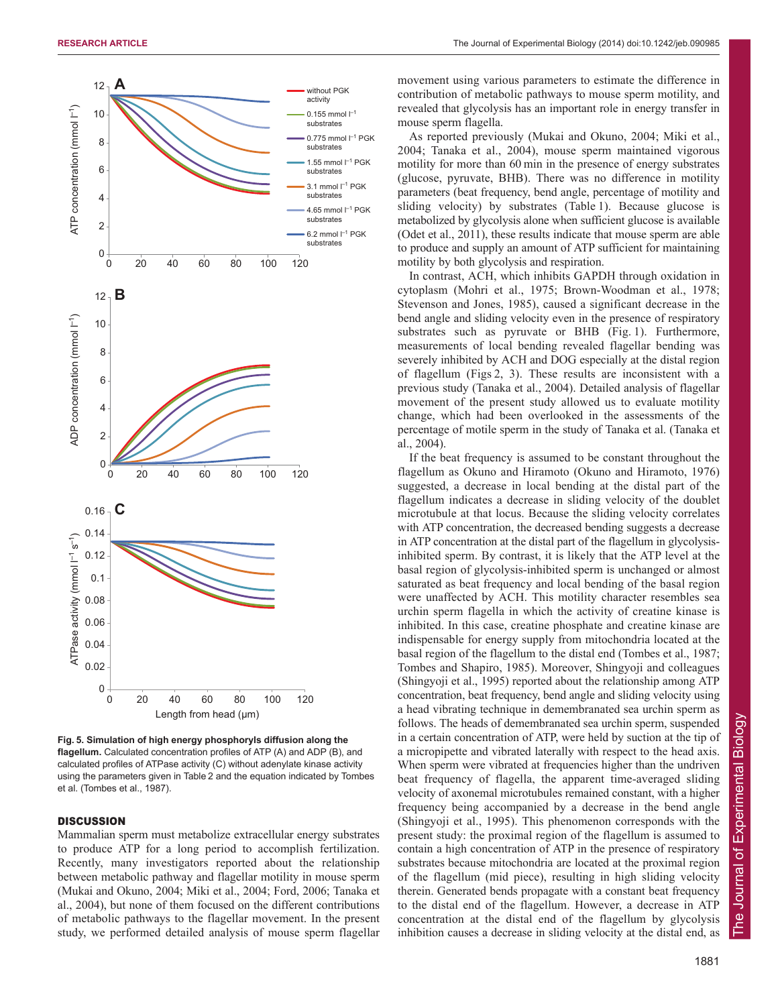

**Fig. 5. Simulation of high energy phosphoryls diffusion along the flagellum.** Calculated concentration profiles of ATP (A) and ADP (B), and calculated profiles of ATPase activity (C) without adenylate kinase activity using the parameters given in Table 2 and the equation indicated by Tombes et al. (Tombes et al., 1987).

## **DISCUSSION**

Mammalian sperm must metabolize extracellular energy substrates to produce ATP for a long period to accomplish fertilization. Recently, many investigators reported about the relationship between metabolic pathway and flagellar motility in mouse sperm (Mukai and Okuno, 2004; Miki et al., 2004; Ford, 2006; Tanaka et al., 2004), but none of them focused on the different contributions of metabolic pathways to the flagellar movement. In the present study, we performed detailed analysis of mouse sperm flagellar movement using various parameters to estimate the difference in contribution of metabolic pathways to mouse sperm motility, and revealed that glycolysis has an important role in energy transfer in mouse sperm flagella.

As reported previously (Mukai and Okuno, 2004; Miki et al., 2004; Tanaka et al., 2004), mouse sperm maintained vigorous motility for more than 60 min in the presence of energy substrates (glucose, pyruvate, BHB). There was no difference in motility parameters (beat frequency, bend angle, percentage of motility and sliding velocity) by substrates (Table 1). Because glucose is metabolized by glycolysis alone when sufficient glucose is available (Odet et al., 2011), these results indicate that mouse sperm are able to produce and supply an amount of ATP sufficient for maintaining motility by both glycolysis and respiration.

In contrast, ACH, which inhibits GAPDH through oxidation in cytoplasm (Mohri et al., 1975; Brown-Woodman et al., 1978; Stevenson and Jones, 1985), caused a significant decrease in the bend angle and sliding velocity even in the presence of respiratory substrates such as pyruvate or BHB (Fig. 1). Furthermore, measurements of local bending revealed flagellar bending was severely inhibited by ACH and DOG especially at the distal region of flagellum (Figs 2, 3). These results are inconsistent with a previous study (Tanaka et al., 2004). Detailed analysis of flagellar movement of the present study allowed us to evaluate motility change, which had been overlooked in the assessments of the percentage of motile sperm in the study of Tanaka et al. (Tanaka et al., 2004).

If the beat frequency is assumed to be constant throughout the flagellum as Okuno and Hiramoto (Okuno and Hiramoto, 1976) suggested, a decrease in local bending at the distal part of the flagellum indicates a decrease in sliding velocity of the doublet microtubule at that locus. Because the sliding velocity correlates with ATP concentration, the decreased bending suggests a decrease in ATP concentration at the distal part of the flagellum in glycolysisinhibited sperm. By contrast, it is likely that the ATP level at the basal region of glycolysis-inhibited sperm is unchanged or almost saturated as beat frequency and local bending of the basal region were unaffected by ACH. This motility character resembles sea urchin sperm flagella in which the activity of creatine kinase is inhibited. In this case, creatine phosphate and creatine kinase are indispensable for energy supply from mitochondria located at the basal region of the flagellum to the distal end (Tombes et al., 1987; Tombes and Shapiro, 1985). Moreover, Shingyoji and colleagues (Shingyoji et al., 1995) reported about the relationship among ATP concentration, beat frequency, bend angle and sliding velocity using a head vibrating technique in demembranated sea urchin sperm as follows. The heads of demembranated sea urchin sperm, suspended in a certain concentration of ATP, were held by suction at the tip of a micropipette and vibrated laterally with respect to the head axis. When sperm were vibrated at frequencies higher than the undriven beat frequency of flagella, the apparent time-averaged sliding velocity of axonemal microtubules remained constant, with a higher frequency being accompanied by a decrease in the bend angle (Shingyoji et al., 1995). This phenomenon corresponds with the present study: the proximal region of the flagellum is assumed to contain a high concentration of ATP in the presence of respiratory substrates because mitochondria are located at the proximal region of the flagellum (mid piece), resulting in high sliding velocity therein. Generated bends propagate with a constant beat frequency to the distal end of the flagellum. However, a decrease in ATP concentration at the distal end of the flagellum by glycolysis inhibition causes a decrease in sliding velocity at the distal end, as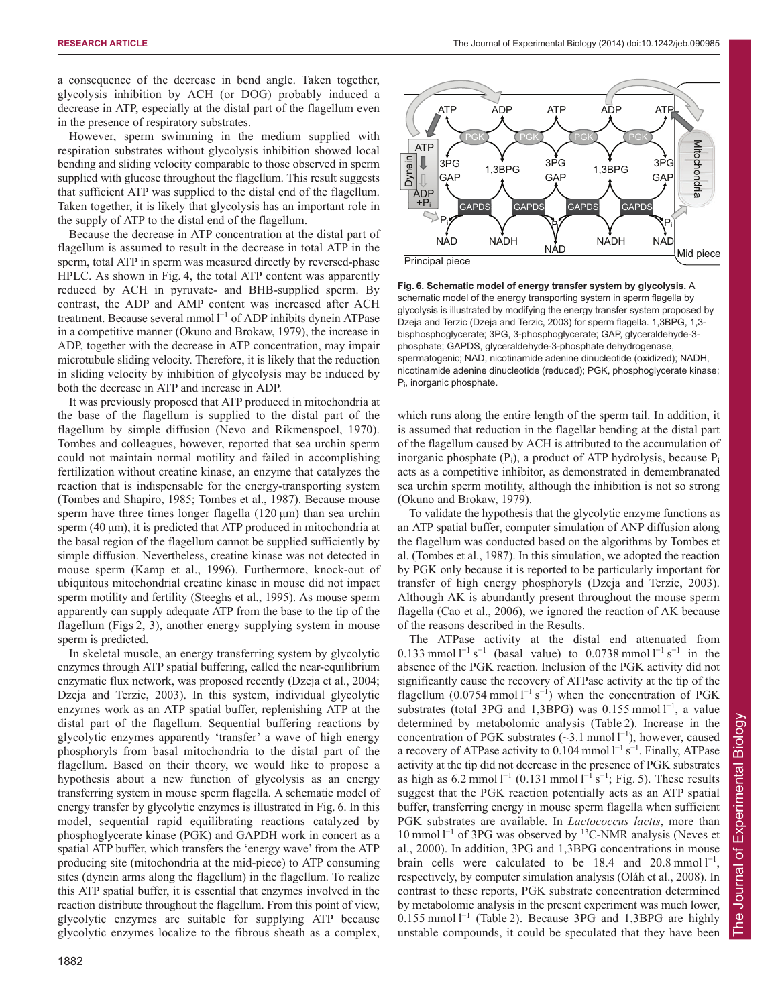a consequence of the decrease in bend angle. Taken together, glycolysis inhibition by ACH (or DOG) probably induced a decrease in ATP, especially at the distal part of the flagellum even in the presence of respiratory substrates.

However, sperm swimming in the medium supplied with respiration substrates without glycolysis inhibition showed local bending and sliding velocity comparable to those observed in sperm supplied with glucose throughout the flagellum. This result suggests that sufficient ATP was supplied to the distal end of the flagellum. Taken together, it is likely that glycolysis has an important role in the supply of ATP to the distal end of the flagellum.

Because the decrease in ATP concentration at the distal part of flagellum is assumed to result in the decrease in total ATP in the sperm, total ATP in sperm was measured directly by reversed-phase HPLC. As shown in Fig. 4, the total ATP content was apparently reduced by ACH in pyruvate- and BHB-supplied sperm. By contrast, the ADP and AMP content was increased after ACH treatment. Because several mmol  $I^{-1}$  of ADP inhibits dynein ATPase in a competitive manner (Okuno and Brokaw, 1979), the increase in ADP, together with the decrease in ATP concentration, may impair microtubule sliding velocity. Therefore, it is likely that the reduction in sliding velocity by inhibition of glycolysis may be induced by both the decrease in ATP and increase in ADP.

It was previously proposed that ATP produced in mitochondria at the base of the flagellum is supplied to the distal part of the flagellum by simple diffusion (Nevo and Rikmenspoel, 1970). Tombes and colleagues, however, reported that sea urchin sperm could not maintain normal motility and failed in accomplishing fertilization without creatine kinase, an enzyme that catalyzes the reaction that is indispensable for the energy-transporting system (Tombes and Shapiro, 1985; Tombes et al., 1987). Because mouse sperm have three times longer flagella (120 μm) than sea urchin sperm (40 μm), it is predicted that ATP produced in mitochondria at the basal region of the flagellum cannot be supplied sufficiently by simple diffusion. Nevertheless, creatine kinase was not detected in mouse sperm (Kamp et al., 1996). Furthermore, knock-out of ubiquitous mitochondrial creatine kinase in mouse did not impact sperm motility and fertility (Steeghs et al., 1995). As mouse sperm apparently can supply adequate ATP from the base to the tip of the flagellum (Figs 2, 3), another energy supplying system in mouse sperm is predicted.

In skeletal muscle, an energy transferring system by glycolytic enzymes through ATP spatial buffering, called the near-equilibrium enzymatic flux network, was proposed recently (Dzeja et al., 2004; Dzeja and Terzic, 2003). In this system, individual glycolytic enzymes work as an ATP spatial buffer, replenishing ATP at the distal part of the flagellum. Sequential buffering reactions by glycolytic enzymes apparently 'transfer' a wave of high energy phosphoryls from basal mitochondria to the distal part of the flagellum. Based on their theory, we would like to propose a hypothesis about a new function of glycolysis as an energy transferring system in mouse sperm flagella. A schematic model of energy transfer by glycolytic enzymes is illustrated in Fig. 6. In this model, sequential rapid equilibrating reactions catalyzed by phosphoglycerate kinase (PGK) and GAPDH work in concert as a spatial ATP buffer, which transfers the 'energy wave' from the ATP producing site (mitochondria at the mid-piece) to ATP consuming sites (dynein arms along the flagellum) in the flagellum. To realize this ATP spatial buffer, it is essential that enzymes involved in the reaction distribute throughout the flagellum. From this point of view, glycolytic enzymes are suitable for supplying ATP because glycolytic enzymes localize to the fibrous sheath as a complex,



**Fig. 6. Schematic model of energy transfer system by glycolysis.** A schematic model of the energy transporting system in sperm flagella by glycolysis is illustrated by modifying the energy transfer system proposed by Dzeja and Terzic (Dzeja and Terzic, 2003) for sperm flagella. 1,3BPG, 1,3 bisphosphoglycerate; 3PG, 3-phosphoglycerate; GAP, glyceraldehyde-3 phosphate; GAPDS, glyceraldehyde-3-phosphate dehydrogenase, spermatogenic; NAD, nicotinamide adenine dinucleotide (oxidized); NADH, nicotinamide adenine dinucleotide (reduced); PGK, phosphoglycerate kinase; Pi , inorganic phosphate.

which runs along the entire length of the sperm tail. In addition, it is assumed that reduction in the flagellar bending at the distal part of the flagellum caused by ACH is attributed to the accumulation of inorganic phosphate  $(P_i)$ , a product of ATP hydrolysis, because  $P_i$ acts as a competitive inhibitor, as demonstrated in demembranated sea urchin sperm motility, although the inhibition is not so strong (Okuno and Brokaw, 1979).

To validate the hypothesis that the glycolytic enzyme functions as an ATP spatial buffer, computer simulation of ANP diffusion along the flagellum was conducted based on the algorithms by Tombes et al. (Tombes et al., 1987). In this simulation, we adopted the reaction by PGK only because it is reported to be particularly important for transfer of high energy phosphoryls (Dzeja and Terzic, 2003). Although AK is abundantly present throughout the mouse sperm flagella (Cao et al., 2006), we ignored the reaction of AK because of the reasons described in the Results.

The ATPase activity at the distal end attenuated from 0.133 mmol  $l^{-1}$  s<sup>-1</sup> (basal value) to 0.0738 mmol  $l^{-1}$  s<sup>-1</sup> in the absence of the PGK reaction. Inclusion of the PGK activity did not significantly cause the recovery of ATPase activity at the tip of the flagellum  $(0.0754 \text{ mmol l}^{-1} \text{ s}^{-1})$  when the concentration of PGK substrates (total 3PG and 1,3BPG) was  $0.155$  mmol  $1^{-1}$ , a value determined by metabolomic analysis (Table 2). Increase in the concentration of PGK substrates  $(\sim 3.1 \text{ mmol l}^{-1})$ , however, caused a recovery of ATPase activity to  $0.104$  mmol  $1^{-1}$  s<sup>-1</sup>. Finally, ATPase activity at the tip did not decrease in the presence of PGK substrates as high as  $6.2 \text{ mmol } 1^{-1}$  (0.131 mmol  $1^{-1}$  s<sup>-1</sup>; Fig. 5). These results suggest that the PGK reaction potentially acts as an ATP spatial buffer, transferring energy in mouse sperm flagella when sufficient PGK substrates are available. In *Lactococcus lactis*, more than 10 mmol l<sup>-1</sup> of 3PG was observed by <sup>13</sup>C-NMR analysis (Neves et al., 2000). In addition, 3PG and 1,3BPG concentrations in mouse brain cells were calculated to be 18.4 and  $20.8 \text{ mmol } 1^{-1}$ , respectively, by computer simulation analysis (Oláh et al., 2008). In contrast to these reports, PGK substrate concentration determined by metabolomic analysis in the present experiment was much lower,  $0.155$  mmol  $l^{-1}$  (Table 2). Because 3PG and 1,3BPG are highly unstable compounds, it could be speculated that they have been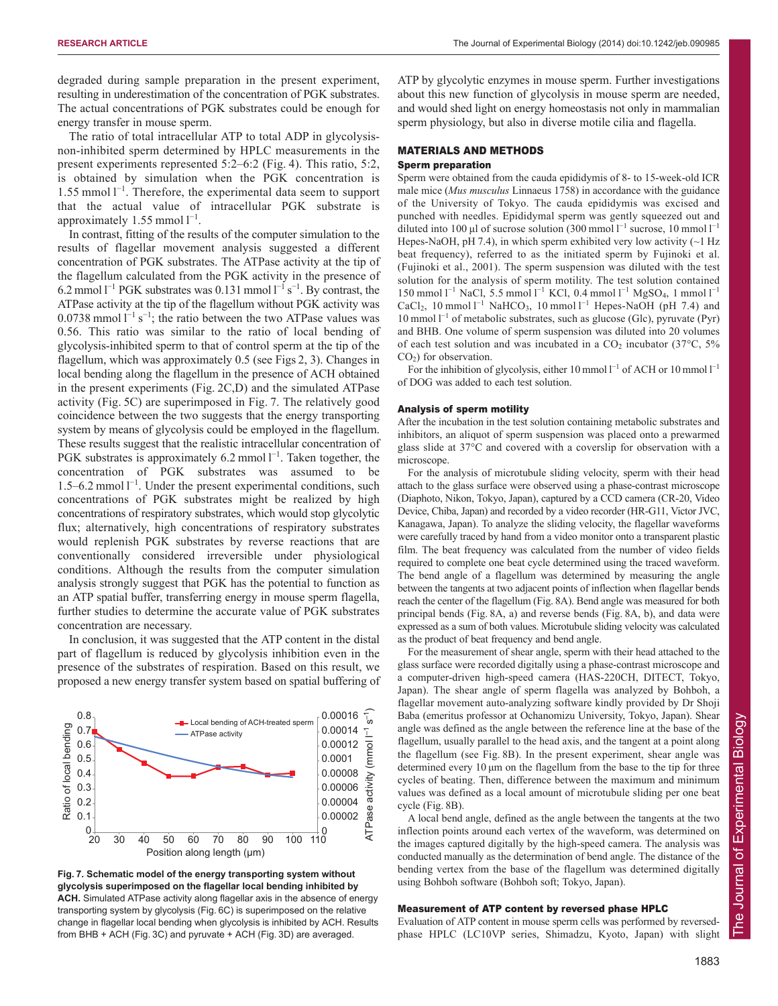degraded during sample preparation in the present experiment, resulting in underestimation of the concentration of PGK substrates. The actual concentrations of PGK substrates could be enough for energy transfer in mouse sperm.

The ratio of total intracellular ATP to total ADP in glycolysisnon-inhibited sperm determined by HPLC measurements in the present experiments represented 5:2–6:2 (Fig. 4). This ratio, 5:2, is obtained by simulation when the PGK concentration is  $1.55$  mmol  $l^{-1}$ . Therefore, the experimental data seem to support that the actual value of intracellular PGK substrate is approximately  $1.55$  mmol  $l^{-1}$ .

In contrast, fitting of the results of the computer simulation to the results of flagellar movement analysis suggested a different concentration of PGK substrates. The ATPase activity at the tip of the flagellum calculated from the PGK activity in the presence of 6.2 mmol  $1^{-1}$  PGK substrates was 0.131 mmol  $1^{-1}$  s<sup>-1</sup>. By contrast, the ATPase activity at the tip of the flagellum without PGK activity was 0.0738 mmol  $l^{-1}$  s<sup>-1</sup>; the ratio between the two ATPase values was 0.56. This ratio was similar to the ratio of local bending of glycolysis-inhibited sperm to that of control sperm at the tip of the flagellum, which was approximately 0.5 (see Figs 2, 3). Changes in local bending along the flagellum in the presence of ACH obtained in the present experiments (Fig. 2C,D) and the simulated ATPase activity (Fig. 5C) are superimposed in Fig. 7. The relatively good coincidence between the two suggests that the energy transporting system by means of glycolysis could be employed in the flagellum. These results suggest that the realistic intracellular concentration of PGK substrates is approximately 6.2 mmol  $l^{-1}$ . Taken together, the concentration of PGK substrates was assumed to be  $1.5-6.2$  mmol  $1^{-1}$ . Under the present experimental conditions, such concentrations of PGK substrates might be realized by high concentrations of respiratory substrates, which would stop glycolytic flux; alternatively, high concentrations of respiratory substrates would replenish PGK substrates by reverse reactions that are conventionally considered irreversible under physiological conditions. Although the results from the computer simulation analysis strongly suggest that PGK has the potential to function as an ATP spatial buffer, transferring energy in mouse sperm flagella, further studies to determine the accurate value of PGK substrates concentration are necessary.

In conclusion, it was suggested that the ATP content in the distal part of flagellum is reduced by glycolysis inhibition even in the presence of the substrates of respiration. Based on this result, we proposed a new energy transfer system based on spatial buffering of



**Fig. 7. Schematic model of the energy transporting system without glycolysis superimposed on the flagellar local bending inhibited by ACH.** Simulated ATPase activity along flagellar axis in the absence of energy transporting system by glycolysis (Fig. 6C) is superimposed on the relative change in flagellar local bending when glycolysis is inhibited by ACH. Results from BHB + ACH (Fig. 3C) and pyruvate + ACH (Fig. 3D) are averaged.

ATP by glycolytic enzymes in mouse sperm. Further investigations about this new function of glycolysis in mouse sperm are needed, and would shed light on energy homeostasis not only in mammalian sperm physiology, but also in diverse motile cilia and flagella.

### MATERIALS AND METHODS

## Sperm preparation

Sperm were obtained from the cauda epididymis of 8- to 15-week-old ICR male mice (*Mus musculus* Linnaeus 1758) in accordance with the guidance of the University of Tokyo. The cauda epididymis was excised and punched with needles. Epididymal sperm was gently squeezed out and diluted into 100 µl of sucrose solution (300 mmol  $l^{-1}$  sucrose, 10 mmol  $l^{-1}$ Hepes-NaOH, pH 7.4), in which sperm exhibited very low activity  $(\sim 1$  Hz beat frequency), referred to as the initiated sperm by Fujinoki et al. (Fujinoki et al., 2001). The sperm suspension was diluted with the test solution for the analysis of sperm motility. The test solution contained 150 mmol l<sup>-1</sup> NaCl, 5.5 mmol l<sup>-1</sup> KCl, 0.4 mmol l<sup>-1</sup> MgSO<sub>4</sub>, 1 mmol l<sup>-1</sup> CaCl<sub>2</sub>, 10 mmol  $l^{-1}$  NaHCO<sub>3</sub>, 10 mmol  $l^{-1}$  Hepes-NaOH (pH 7.4) and 10 mmol l <sup>−</sup><sup>1</sup> of metabolic substrates, such as glucose (Glc), pyruvate (Pyr) and BHB. One volume of sperm suspension was diluted into 20 volumes of each test solution and was incubated in a  $CO<sub>2</sub>$  incubator (37 $\degree$ C, 5%) CO2) for observation.

For the inhibition of glycolysis, either 10 mmol  $l^{-1}$  of ACH or 10 mmol  $l^{-1}$ of DOG was added to each test solution.

## Analysis of sperm motility

After the incubation in the test solution containing metabolic substrates and inhibitors, an aliquot of sperm suspension was placed onto a prewarmed glass slide at 37°C and covered with a coverslip for observation with a microscope.

For the analysis of microtubule sliding velocity, sperm with their head attach to the glass surface were observed using a phase-contrast microscope (Diaphoto, Nikon, Tokyo, Japan), captured by a CCD camera (CR-20, Video Device, Chiba, Japan) and recorded by a video recorder (HR-G11, Victor JVC, Kanagawa, Japan). To analyze the sliding velocity, the flagellar waveforms were carefully traced by hand from a video monitor onto a transparent plastic film. The beat frequency was calculated from the number of video fields required to complete one beat cycle determined using the traced waveform. The bend angle of a flagellum was determined by measuring the angle between the tangents at two adjacent points of inflection when flagellar bends reach the center of the flagellum (Fig. 8A). Bend angle was measured for both principal bends (Fig. 8A, a) and reverse bends (Fig. 8A, b), and data were expressed as a sum of both values. Microtubule sliding velocity was calculated as the product of beat frequency and bend angle.

For the measurement of shear angle, sperm with their head attached to the glass surface were recorded digitally using a phase-contrast microscope and a computer-driven high-speed camera (HAS-220CH, DITECT, Tokyo, Japan). The shear angle of sperm flagella was analyzed by Bohboh, a flagellar movement auto-analyzing software kindly provided by Dr Shoji Baba (emeritus professor at Ochanomizu University, Tokyo, Japan). Shear angle was defined as the angle between the reference line at the base of the flagellum, usually parallel to the head axis, and the tangent at a point along the flagellum (see Fig. 8B). In the present experiment, shear angle was determined every 10 μm on the flagellum from the base to the tip for three cycles of beating. Then, difference between the maximum and minimum values was defined as a local amount of microtubule sliding per one beat cycle (Fig. 8B).

A local bend angle, defined as the angle between the tangents at the two inflection points around each vertex of the waveform, was determined on the images captured digitally by the high-speed camera. The analysis was conducted manually as the determination of bend angle. The distance of the bending vertex from the base of the flagellum was determined digitally using Bohboh software (Bohboh soft; Tokyo, Japan).

#### Measurement of ATP content by reversed phase HPLC

Evaluation of ATP content in mouse sperm cells was performed by reversedphase HPLC (LC10VP series, Shimadzu, Kyoto, Japan) with slight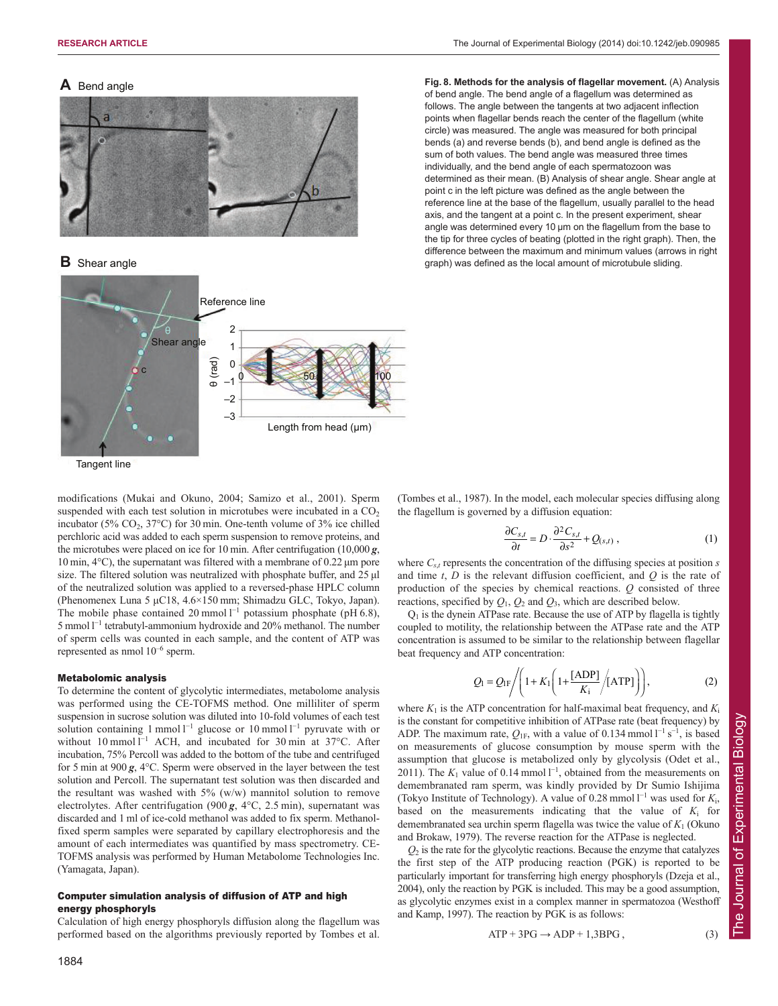## **A** Bend angle



**B** Shear angle



modifications (Mukai and Okuno, 2004; Samizo et al., 2001). Sperm suspended with each test solution in microtubes were incubated in a  $CO<sub>2</sub>$ incubator (5%  $CO<sub>2</sub>$ , 37°C) for 30 min. One-tenth volume of 3% ice chilled perchloric acid was added to each sperm suspension to remove proteins, and the microtubes were placed on ice for 10 min. After centrifugation (10,000 *g*, 10 min, 4°C), the supernatant was filtered with a membrane of 0.22 μm pore size. The filtered solution was neutralized with phosphate buffer, and 25 μl of the neutralized solution was applied to a reversed-phase HPLC column (Phenomenex Luna 5 μC18, 4.6×150 mm; Shimadzu GLC, Tokyo, Japan). The mobile phase contained 20 mmol  $l^{-1}$  potassium phosphate (pH 6.8), 5 mmol l<sup>-1</sup> tetrabutyl-ammonium hydroxide and 20% methanol. The number

## Metabolomic analysis

represented as nmol 10–6 sperm.

To determine the content of glycolytic intermediates, metabolome analysis was performed using the CE-TOFMS method. One milliliter of sperm suspension in sucrose solution was diluted into 10-fold volumes of each test solution containing 1 mmol  $l^{-1}$  glucose or 10 mmol  $l^{-1}$  pyruvate with or without 10 mmol l<sup>-1</sup> ACH, and incubated for 30 min at 37°C. After incubation, 75% Percoll was added to the bottom of the tube and centrifuged for 5 min at 900 *g*, 4°C. Sperm were observed in the layer between the test solution and Percoll. The supernatant test solution was then discarded and the resultant was washed with 5% (w/w) mannitol solution to remove electrolytes. After centrifugation  $(900 g, 4°C, 2.5 min)$ , supernatant was discarded and 1 ml of ice-cold methanol was added to fix sperm. Methanolfixed sperm samples were separated by capillary electrophoresis and the amount of each intermediates was quantified by mass spectrometry. CE-TOFMS analysis was performed by Human Metabolome Technologies Inc. (Yamagata, Japan).

of sperm cells was counted in each sample, and the content of ATP was

## Computer simulation analysis of diffusion of ATP and high energy phosphoryls

Calculation of high energy phosphoryls diffusion along the flagellum was performed based on the algorithms previously reported by Tombes et al. **Fig. 8. Methods for the analysis of flagellar movement.** (A) Analysis of bend angle. The bend angle of a flagellum was determined as follows. The angle between the tangents at two adjacent inflection points when flagellar bends reach the center of the flagellum (white circle) was measured. The angle was measured for both principal bends (a) and reverse bends (b), and bend angle is defined as the sum of both values. The bend angle was measured three times individually, and the bend angle of each spermatozoon was determined as their mean. (B) Analysis of shear angle. Shear angle at point c in the left picture was defined as the angle between the reference line at the base of the flagellum, usually parallel to the head axis, and the tangent at a point c. In the present experiment, shear angle was determined every 10 μm on the flagellum from the base to the tip for three cycles of beating (plotted in the right graph). Then, the difference between the maximum and minimum values (arrows in right graph) was defined as the local amount of microtubule sliding.

(Tombes et al., 1987). In the model, each molecular species diffusing along the flagellum is governed by a diffusion equation:

$$
\frac{\partial C_{s,t}}{\partial t} = D \cdot \frac{\partial^2 C_{s,t}}{\partial s^2} + Q_{(s,t)} \,, \tag{1}
$$

where  $C_{s,t}$  represents the concentration of the diffusing species at position  $s$ and time  $t$ ,  $D$  is the relevant diffusion coefficient, and  $Q$  is the rate of production of the species by chemical reactions. *Q* consisted of three reactions, specified by  $Q_1$ ,  $Q_2$  and  $Q_3$ , which are described below.

 $Q<sub>1</sub>$  is the dynein ATPase rate. Because the use of ATP by flagella is tightly coupled to motility, the relationship between the ATPase rate and the ATP concentration is assumed to be similar to the relationship between flagellar beat frequency and ATP concentration:

$$
Q_1 = Q_{1F} / \left( 1 + K_1 \left( 1 + \frac{[ADP]}{K_1} / [ATP] \right) \right), \tag{2}
$$

where  $K_1$  is the ATP concentration for half-maximal beat frequency, and  $K_i$ is the constant for competitive inhibition of ATPase rate (beat frequency) by ADP. The maximum rate,  $Q_{1F}$ , with a value of 0.134 mmol  $l^{-1} s^{-1}$ , is based on measurements of glucose consumption by mouse sperm with the assumption that glucose is metabolized only by glycolysis (Odet et al., 2011). The  $K_1$  value of 0.14 mmol  $1^{-1}$ , obtained from the measurements on demembranated ram sperm, was kindly provided by Dr Sumio Ishijima (Tokyo Institute of Technology). A value of 0.28 mmol  $l^{-1}$  was used for  $K_i$ , based on the measurements indicating that the value of  $K_i$  for demembranated sea urchin sperm flagella was twice the value of *K*<sup>1</sup> (Okuno and Brokaw, 1979). The reverse reaction for the ATPase is neglected.

 $Q<sub>2</sub>$  is the rate for the glycolytic reactions. Because the enzyme that catalyzes the first step of the ATP producing reaction (PGK) is reported to be particularly important for transferring high energy phosphoryls (Dzeja et al., 2004), only the reaction by PGK is included. This may be a good assumption, as glycolytic enzymes exist in a complex manner in spermatozoa (Westhoff and Kamp, 1997). The reaction by PGK is as follows:

$$
ATP + 3PG \rightarrow ADP + 1,3BPG, \qquad (3)
$$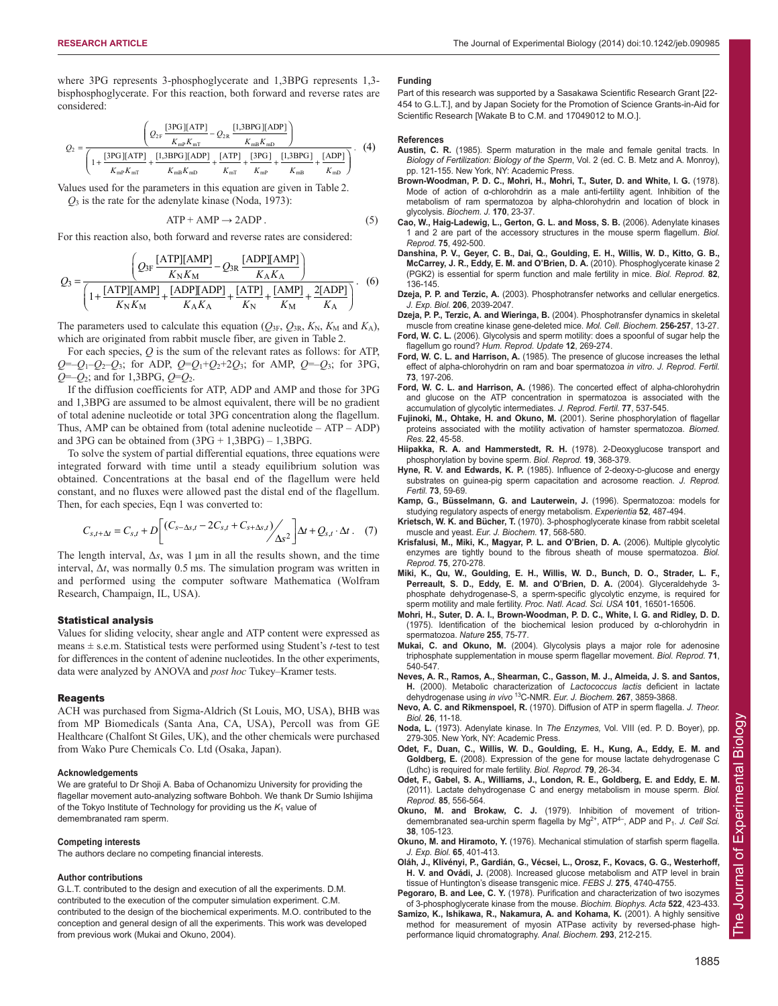where 3PG represents 3-phosphoglycerate and 1,3BPG represents 1,3 bisphosphoglycerate. For this reaction, both forward and reverse rates are considered:

$$
Q_{2} = \frac{\left(Q_{2F} \frac{[3PG][ATP]}{K_{mP}K_{mT}} - Q_{2R} \frac{[1,3BPG][ADP]}{K_{mB}K_{mD}}\right)}{1 + \frac{[3PG][ATP]}{K_{mP}K_{mT}} + \frac{[1,3BPG][ADP]}{K_{mD}K_{mD}} + \frac{[ATP]}{K_{mT}} + \frac{[3PG]}{K_{mP}} + \frac{[1,3BPG]}{K_{mB}} + \frac{[ADP]}{K_{mD}}\right)}.
$$
 (4)

Values used for the parameters in this equation are given in Table 2.  $Q_3$  is the rate for the adenylate kinase (Noda, 1973):

$$
ATP + AMP \rightarrow 2ADP. \tag{5}
$$

For this reaction also, both forward and reverse rates are considered:

$$
Q_3 = \frac{\left(Q_{3F} \frac{[ATP][AMP]}{K_N K_M} - Q_{3R} \frac{[ADP][AMP]}{K_A K_A}\right)}{\left(1 + \frac{[ATP][AMP]}{K_N K_M} + \frac{[ADP][ADP]}{K_A K_A} + \frac{[ATP]}{K_N} + \frac{[AMP]}{K_M} + \frac{2[ADP]}{K_A}\right)}.
$$
 (6)

The parameters used to calculate this equation ( $Q_{3F}$ ,  $Q_{3R}$ ,  $K_N$ ,  $K_M$  and  $K_A$ ), which are originated from rabbit muscle fiber, are given in Table 2.

For each species, *Q* is the sum of the relevant rates as follows: for ATP,  $Q=-Q_1-Q_2-Q_3$ ; for ADP,  $Q=Q_1+Q_2+2Q_3$ ; for AMP,  $Q=-Q_3$ ; for 3PG, *Q*=–*Q*2; and for 1,3BPG, *Q*=*Q*2.

If the diffusion coefficients for ATP, ADP and AMP and those for 3PG and 1,3BPG are assumed to be almost equivalent, there will be no gradient of total adenine nucleotide or total 3PG concentration along the flagellum. Thus, AMP can be obtained from (total adenine nucleotide – ATP – ADP) and  $3PG$  can be obtained from  $(3PG + 1,3BPG) - 1,3BPG$ .

To solve the system of partial differential equations, three equations were integrated forward with time until a steady equilibrium solution was obtained. Concentrations at the basal end of the flagellum were held constant, and no fluxes were allowed past the distal end of the flagellum. Then, for each species, Eqn 1 was converted to:

$$
C_{s,t+\Delta t} = C_{s,t} + D \left[ \left( C_{s-\Delta s,t} - 2C_{s,t} + C_{s+\Delta s,t} \right) / \Delta s^2 \right] \Delta t + Q_{s,t} \cdot \Delta t \,. \tag{7}
$$

The length interval,  $\Delta s$ , was 1  $\mu$ m in all the results shown, and the time interval,  $\Delta t$ , was normally 0.5 ms. The simulation program was written in and performed using the computer software Mathematica (Wolfram Research, Champaign, IL, USA).

#### Statistical analysis

Values for sliding velocity, shear angle and ATP content were expressed as means ± s.e.m. Statistical tests were performed using Student's *t*-test to test for differences in the content of adenine nucleotides. In the other experiments, data were analyzed by ANOVA and *post hoc* Tukey–Kramer tests.

#### **Reagents**

ACH was purchased from Sigma-Aldrich (St Louis, MO, USA), BHB was from MP Biomedicals (Santa Ana, CA, USA), Percoll was from GE Healthcare (Chalfont St Giles, UK), and the other chemicals were purchased from Wako Pure Chemicals Co. Ltd (Osaka, Japan).

#### **Acknowledgements**

We are grateful to Dr Shoji A. Baba of Ochanomizu University for providing the flagellar movement auto-analyzing software Bohboh. We thank Dr Sumio Ishijima of the Tokyo Institute of Technology for providing us the  $K_1$  value of demembranated ram sperm.

#### **Competing interests**

The authors declare no competing financial interests.

#### **Author contributions**

G.L.T. contributed to the design and execution of all the experiments. D.M. contributed to the execution of the computer simulation experiment. C.M. contributed to the design of the biochemical experiments. M.O. contributed to the conception and general design of all the experiments. This work was developed from previous work (Mukai and Okuno, 2004).

#### **Funding**

Part of this research was supported by a Sasakawa Scientific Research Grant [22- 454 to G.L.T.], and by Japan Society for the Promotion of Science Grants-in-Aid for Scientific Research [Wakate B to C.M. and 17049012 to M.O.].

#### **References**

- **Austin, C. R.** (1985). Sperm maturation in the male and female genital tracts. In *Biology of Fertilization: Biology of the Sperm*, Vol. 2 (ed. C. B. Metz and A. Monroy), pp. 121-155. New York, NY: Academic Press.
- **Brown-Woodman, P. D. C., Mohri, H., Mohri, T., Suter, D. and White, I. G.** (1978). Mode of action of α-chlorohdrin as a male anti-fertility agent. Inhibition of the metabolism of ram spermatozoa by alpha-chlorohydrin and location of block in glycolysis. *Biochem. J.* **170**, 23-37.
- **Cao, W., Haig-Ladewig, L., Gerton, G. L. and Moss, S. B.** (2006). Adenylate kinases 1 and 2 are part of the accessory structures in the mouse sperm flagellum. *Biol. Reprod.* **75**, 492-500.
- **Danshina, P. V., Geyer, C. B., Dai, Q., Goulding, E. H., Willis, W. D., Kitto, G. B., McCarrey, J. R., Eddy, E. M. and O'Brien, D. A.** (2010). Phosphoglycerate kinase 2 (PGK2) is essential for sperm function and male fertility in mice. *Biol. Reprod.* **82**, 136-145.
- **Dzeja, P. P. and Terzic, A.** (2003). Phosphotransfer networks and cellular energetics. *J. Exp. Biol.* **206**, 2039-2047.
- **Dzeja, P. P., Terzic, A. and Wieringa, B.** (2004). Phosphotransfer dynamics in skeletal muscle from creatine kinase gene-deleted mice. *Mol. Cell. Biochem.* **256-257**, 13-27.
- **Ford, W. C. L.** (2006). Glycolysis and sperm motility: does a spoonful of sugar help the flagellum go round? *Hum. Reprod. Update* **12**, 269-274.
- **Ford, W. C. L. and Harrison, A.** (1985). The presence of glucose increases the lethal effect of alpha-chlorohydrin on ram and boar spermatozoa *in vitro*. *J. Reprod. Fertil.* **73**, 197-206.
- **Ford, W. C. L. and Harrison, A.** (1986). The concerted effect of alpha-chlorohydrin and glucose on the ATP concentration in spermatozoa is associated with the accumulation of glycolytic intermediates. *J. Reprod. Fertil.* **77**, 537-545.
- **Fujinoki, M., Ohtake, H. and Okuno, M.** (2001). Serine phosphorylation of flagellar proteins associated with the motility activation of hamster spermatozoa. *Biomed. Res.* **22**, 45-58.
- **Hiipakka, R. A. and Hammerstedt, R. H.** (1978). 2-Deoxyglucose transport and phosphorylation by bovine sperm. *Biol. Reprod.* **19**, 368-379.
- **Hyne, R. V. and Edwards, K. P.** (1985). Influence of 2-deoxy-D-glucose and energy substrates on guinea-pig sperm capacitation and acrosome reaction. *J. Reprod. Fertil.* **73**, 59-69.
- **Kamp, G., Büsselmann, G. and Lauterwein, J.** (1996). Spermatozoa: models for studying regulatory aspects of energy metabolism. *Experientia* **52**, 487-494.
- **Krietsch, W. K. and Bücher, T.** (1970). 3-phosphoglycerate kinase from rabbit sceletal muscle and yeast. *Eur. J. Biochem.* **17**, 568-580.
- **Krisfalusi, M., Miki, K., Magyar, P. L. and O'Brien, D. A.** (2006). Multiple glycolytic enzymes are tightly bound to the fibrous sheath of mouse spermatozoa. *Biol. Reprod.* **75**, 270-278.
- **Miki, K., Qu, W., Goulding, E. H., Willis, W. D., Bunch, D. O., Strader, L. F., Perreault, S. D., Eddy, E. M. and O'Brien, D. A.** (2004). Glyceraldehyde 3 phosphate dehydrogenase-S, a sperm-specific glycolytic enzyme, is required for sperm motility and male fertility. *Proc. Natl. Acad. Sci. USA* **101**, 16501-16506.
- **Mohri, H., Suter, D. A. I., Brown-Woodman, P. D. C., White, I. G. and Ridley, D. D.** (1975). Identification of the biochemical lesion produced by α-chlorohydrin in spermatozoa. *Nature* **255**, 75-77.
- **Mukai, C. and Okuno, M.** (2004). Glycolysis plays a major role for adenosine triphosphate supplementation in mouse sperm flagellar movement. *Biol. Reprod.* **71**, 540-547.
- **Neves, A. R., Ramos, A., Shearman, C., Gasson, M. J., Almeida, J. S. and Santos, H.** (2000). Metabolic characterization of *Lactococcus lactis* deficient in lactate dehydrogenase using *in vivo* 13C-NMR. *Eur. J. Biochem.* **267**, 3859-3868.
- **Nevo, A. C. and Rikmenspoel, R.** (1970). Diffusion of ATP in sperm flagella. *J. Theor. Biol.* **26**, 11-18.
- **Noda, L.** (1973). Adenylate kinase. In *The Enzymes,* Vol. VIII (ed. P. D. Boyer), pp. 279-305. New York, NY: Academic Press.
- **Odet, F., Duan, C., Willis, W. D., Goulding, E. H., Kung, A., Eddy, E. M. and Goldberg, E.** (2008). Expression of the gene for mouse lactate dehydrogenase C (Ldhc) is required for male fertility. *Biol. Reprod.* **79**, 26-34.
- **Odet, F., Gabel, S. A., Williams, J., London, R. E., Goldberg, E. and Eddy, E. M.** (2011). Lactate dehydrogenase C and energy metabolism in mouse sperm. *Biol. Reprod.* **85**, 556-564.
- **Okuno, M. and Brokaw, C. J.** (1979). Inhibition of movement of tritiondemembranated sea-urchin sperm flagella by Mg<sup>2+</sup>, ATP<sup>4-</sup>, ADP and P<sub>1</sub>. *J. Cell Sci.* **38**, 105-123.
- **Okuno, M. and Hiramoto, Y.** (1976). Mechanical stimulation of starfish sperm flagella. *J. Exp. Biol.* **65**, 401-413.
- **Oláh, J., Klivényi, P., Gardián, G., Vécsei, L., Orosz, F., Kovacs, G. G., Westerhoff, H. V. and Ovádi, J.** (2008). Increased glucose metabolism and ATP level in brain tissue of Huntington's disease transgenic mice. *FEBS J.* **275**, 4740-4755.
- **Pegoraro, B. and Lee, C. Y.** (1978). Purification and characterization of two isozymes of 3-phosphoglycerate kinase from the mouse. *Biochim. Biophys. Acta* **522**, 423-433.
- **Samizo, K., Ishikawa, R., Nakamura, A. and Kohama, K.** (2001). A highly sensitive method for measurement of myosin ATPase activity by reversed-phase highperformance liquid chromatography. *Anal. Biochem.* **293**, 212-215.